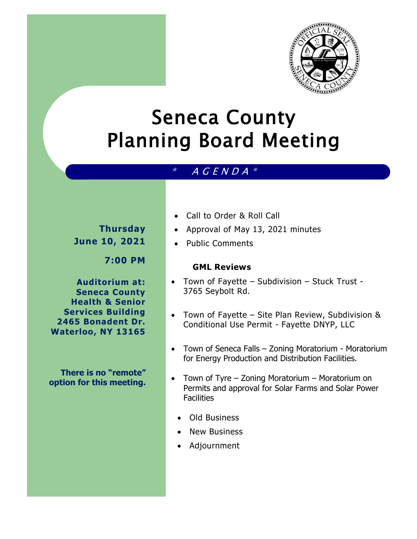

# Seneca County Planning Board Meeting

# $*$  A G E N D A  $*$

# **Thursday June 10, 2021**

# **7:00 PM**

**Auditorium at: Seneca County Health & Senior Services Building 2465 Bonadent Dr. Waterloo, NY 13165**

**There is no "remote" option for this meeting.** 

- Call to Order & Roll Call
- Approval of May 13, 2021 minutes
- Public Comments

#### **GML Reviews**

- Town of Fayette Subdivision Stuck Trust 3765 Seybolt Rd.
- Town of Fayette Site Plan Review, Subdivision & Conditional Use Permit - Fayette DNYP, LLC
- Town of Seneca Falls Zoning Moratorium Moratorium for Energy Production and Distribution Facilities.
- Town of Tyre Zoning Moratorium Moratorium on Permits and approval for Solar Farms and Solar Power **Facilities** 
	- Old Business
	- New Business
	- Adjournment